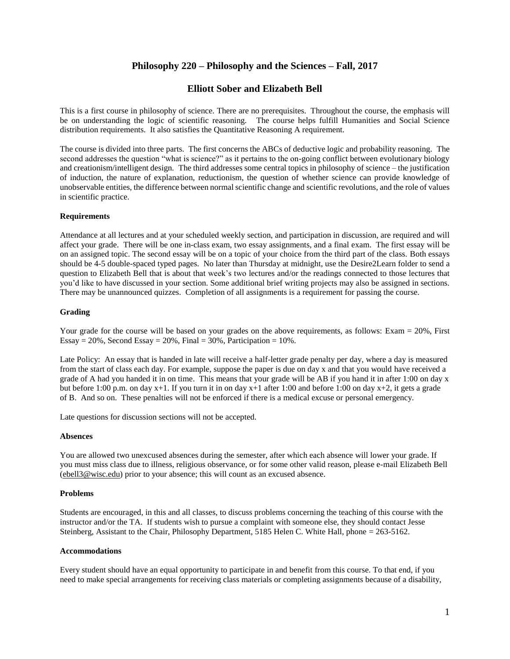# **Philosophy 220 – Philosophy and the Sciences – Fall, 2017**

## **Elliott Sober and Elizabeth Bell**

This is a first course in philosophy of science. There are no prerequisites. Throughout the course, the emphasis will be on understanding the logic of scientific reasoning. The course helps fulfill Humanities and Social Science distribution requirements. It also satisfies the Quantitative Reasoning A requirement.

The course is divided into three parts. The first concerns the ABCs of deductive logic and probability reasoning. The second addresses the question "what is science?" as it pertains to the on-going conflict between evolutionary biology and creationism/intelligent design. The third addresses some central topics in philosophy of science – the justification of induction, the nature of explanation, reductionism, the question of whether science can provide knowledge of unobservable entities, the difference between normal scientific change and scientific revolutions, and the role of values in scientific practice.

#### **Requirements**

Attendance at all lectures and at your scheduled weekly section, and participation in discussion, are required and will affect your grade. There will be one in-class exam, two essay assignments, and a final exam. The first essay will be on an assigned topic. The second essay will be on a topic of your choice from the third part of the class. Both essays should be 4-5 double-spaced typed pages. No later than Thursday at midnight, use the Desire2Learn folder to send a question to Elizabeth Bell that is about that week's two lectures and/or the readings connected to those lectures that you'd like to have discussed in your section. Some additional brief writing projects may also be assigned in sections. There may be unannounced quizzes. Completion of all assignments is a requirement for passing the course.

## **Grading**

Your grade for the course will be based on your grades on the above requirements, as follows: Exam = 20%, First Essay = 20%, Second Essay = 20%, Final =  $30\%$ , Participation =  $10\%$ .

Late Policy: An essay that is handed in late will receive a half-letter grade penalty per day, where a day is measured from the start of class each day. For example, suppose the paper is due on day x and that you would have received a grade of A had you handed it in on time. This means that your grade will be AB if you hand it in after 1:00 on day x but before 1:00 p.m. on day  $x+1$ . If you turn it in on day  $x+1$  after 1:00 and before 1:00 on day  $x+2$ , it gets a grade of B. And so on. These penalties will not be enforced if there is a medical excuse or personal emergency.

Late questions for discussion sections will not be accepted.

#### **Absences**

You are allowed two unexcused absences during the semester, after which each absence will lower your grade. If you must miss class due to illness, religious observance, or for some other valid reason, please e-mail Elizabeth Bell [\(ebell3@wisc.edu\)](mailto:ebell3@wisc.edu) prior to your absence; this will count as an excused absence.

#### **Problems**

Students are encouraged, in this and all classes, to discuss problems concerning the teaching of this course with the instructor and/or the TA. If students wish to pursue a complaint with someone else, they should contact Jesse Steinberg, Assistant to the Chair, Philosophy Department, 5185 Helen C. White Hall, phone = 263-5162.

#### **Accommodations**

Every student should have an equal opportunity to participate in and benefit from this course. To that end, if you need to make special arrangements for receiving class materials or completing assignments because of a disability,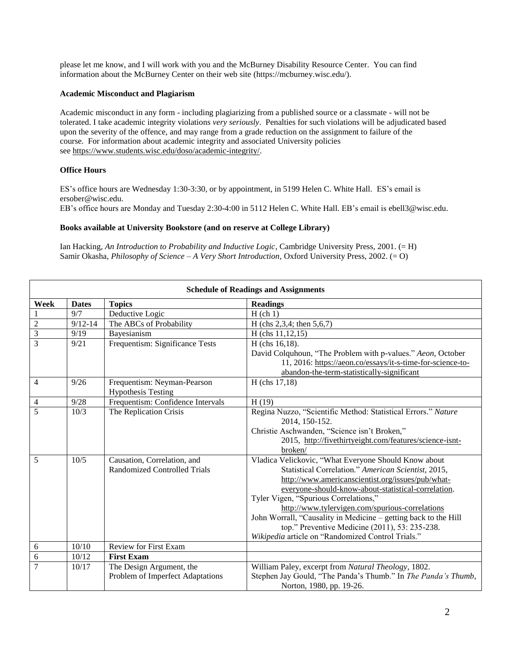please let me know, and I will work with you and the McBurney Disability Resource Center. You can find information about the McBurney Center on their web site (https://mcburney.wisc.edu/).

## **Academic Misconduct and Plagiarism**

Academic misconduct in any form - including plagiarizing from a published source or a classmate - will not be tolerated. I take academic integrity violations *very seriously*. Penalties for such violations will be adjudicated based upon the severity of the offence, and may range from a grade reduction on the assignment to failure of the course. For information about academic integrity and associated University policies see [https://www.students.wisc.edu/doso/academic-integrity/.](https://www.students.wisc.edu/doso/academic-integrity/)

## **Office Hours**

ES's office hours are Wednesday 1:30-3:30, or by appointment, in 5199 Helen C. White Hall. ES's email is ersober@wisc.edu. EB's office hours are Monday and Tuesday 2:30-4:00 in 5112 Helen C. White Hall. EB's email i[s ebell3@wisc.edu.](mailto:ebell3@wisc.edu)

## **Books available at University Bookstore (and on reserve at College Library)**

Ian Hacking, *An Introduction to Probability and Inductive Logic*, Cambridge University Press, 2001. (= H) Samir Okasha, *Philosophy of Science – A Very Short Introduction,* Oxford University Press, 2002. (= O)

| <b>Schedule of Readings and Assignments</b> |              |                                   |                                                                 |  |
|---------------------------------------------|--------------|-----------------------------------|-----------------------------------------------------------------|--|
| Week                                        | <b>Dates</b> | <b>Topics</b>                     | <b>Readings</b>                                                 |  |
|                                             | 9/7          | Deductive Logic                   | $H$ (ch 1)                                                      |  |
| $\overline{2}$                              | $9/12 - 14$  | The ABCs of Probability           | H (chs 2,3,4; then $5,6,7$ )                                    |  |
| 3                                           | 9/19         | Bayesianism                       | $H$ (chs 11,12,15)                                              |  |
| 3                                           | 9/21         | Frequentism: Significance Tests   | H (chs 16,18).                                                  |  |
|                                             |              |                                   | David Colquhoun, "The Problem with p-values." Aeon, October     |  |
|                                             |              |                                   | 11, 2016: https://aeon.co/essays/it-s-time-for-science-to-      |  |
|                                             |              |                                   | abandon-the-term-statistically-significant                      |  |
| $\overline{4}$                              | 9/26         | Frequentism: Neyman-Pearson       | $H$ (chs 17,18)                                                 |  |
|                                             |              | <b>Hypothesis Testing</b>         |                                                                 |  |
| $\overline{4}$                              | 9/28         | Frequentism: Confidence Intervals | H(19)                                                           |  |
| 5                                           | 10/3         | The Replication Crisis            | Regina Nuzzo, "Scientific Method: Statistical Errors." Nature   |  |
|                                             |              |                                   | 2014, 150-152.                                                  |  |
|                                             |              |                                   | Christie Aschwanden, "Science isn't Broken,"                    |  |
|                                             |              |                                   | 2015, http://fivethirtyeight.com/features/science-isnt-         |  |
|                                             |              |                                   | broken/                                                         |  |
| 5                                           | 10/5         | Causation, Correlation, and       | Vladica Velickovic, "What Everyone Should Know about            |  |
|                                             |              | Randomized Controlled Trials      | Statistical Correlation." American Scientist, 2015,             |  |
|                                             |              |                                   | http://www.americanscientist.org/issues/pub/what-               |  |
|                                             |              |                                   | everyone-should-know-about-statistical-correlation.             |  |
|                                             |              |                                   | Tyler Vigen, "Spurious Correlations,"                           |  |
|                                             |              |                                   | http://www.tylervigen.com/spurious-correlations                 |  |
|                                             |              |                                   | John Worrall, "Causality in Medicine - getting back to the Hill |  |
|                                             |              |                                   | top." Preventive Medicine (2011), 53: 235-238.                  |  |
|                                             |              |                                   | Wikipedia article on "Randomized Control Trials."               |  |
| 6                                           | 10/10        | <b>Review for First Exam</b>      |                                                                 |  |
| 6                                           | 10/12        | <b>First Exam</b>                 |                                                                 |  |
| $\overline{7}$                              | 10/17        | The Design Argument, the          | William Paley, excerpt from Natural Theology, 1802.             |  |
|                                             |              | Problem of Imperfect Adaptations  | Stephen Jay Gould, "The Panda's Thumb." In The Panda's Thumb,   |  |
|                                             |              |                                   | Norton, 1980, pp. 19-26.                                        |  |